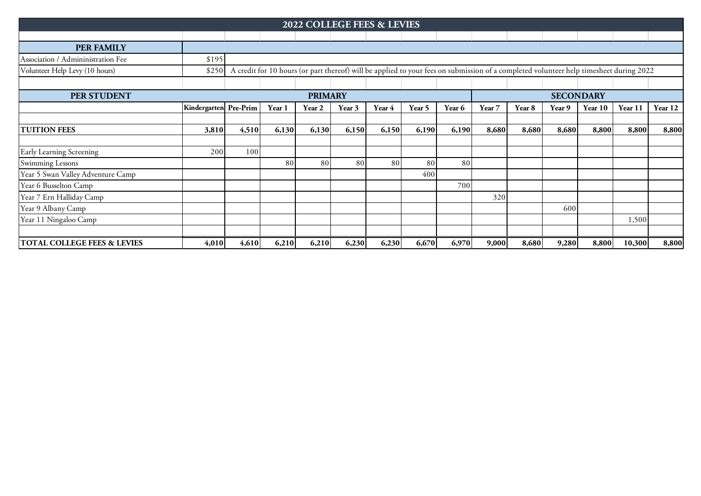|                                    |                                                                                                                                                 |       |        | <b>2022 COLLEGE FEES &amp; LEVIES</b> |        |        |        |        |        |                  |        |         |         |         |  |  |
|------------------------------------|-------------------------------------------------------------------------------------------------------------------------------------------------|-------|--------|---------------------------------------|--------|--------|--------|--------|--------|------------------|--------|---------|---------|---------|--|--|
|                                    |                                                                                                                                                 |       |        |                                       |        |        |        |        |        |                  |        |         |         |         |  |  |
|                                    |                                                                                                                                                 |       |        |                                       |        |        |        |        |        |                  |        |         |         |         |  |  |
| <b>PER FAMILY</b>                  |                                                                                                                                                 |       |        |                                       |        |        |        |        |        |                  |        |         |         |         |  |  |
| Association / Admininistration Fee | \$195                                                                                                                                           |       |        |                                       |        |        |        |        |        |                  |        |         |         |         |  |  |
| Volunteer Help Levy (10 hours)     | A credit for 10 hours (or part thereof) will be applied to your fees on submission of a completed volunteer help timesheet during 2022<br>\$250 |       |        |                                       |        |        |        |        |        |                  |        |         |         |         |  |  |
|                                    |                                                                                                                                                 |       |        |                                       |        |        |        |        |        |                  |        |         |         |         |  |  |
| PER STUDENT                        | <b>PRIMARY</b>                                                                                                                                  |       |        |                                       |        |        |        |        |        | <b>SECONDARY</b> |        |         |         |         |  |  |
|                                    | Kindergarten Pre-Prim                                                                                                                           |       | Year 1 | Year 2                                | Year 3 | Year 4 | Year 5 | Year 6 | Year 7 | Year 8           | Year 9 | Year 10 | Year 11 | Year 12 |  |  |
|                                    |                                                                                                                                                 |       |        |                                       |        |        |        |        |        |                  |        |         |         |         |  |  |
| <b>TUITION FEES</b>                | 3,810                                                                                                                                           | 4,510 | 6,130  | 6,130                                 | 6,150  | 6,150  | 6,190  | 6,190  | 8,680  | 8,680            | 8,680  | 8,800   | 8,800   | 8,800   |  |  |
|                                    |                                                                                                                                                 |       |        |                                       |        |        |        |        |        |                  |        |         |         |         |  |  |
| Early Learning Screening           | 200                                                                                                                                             | 100   |        |                                       |        |        |        |        |        |                  |        |         |         |         |  |  |
| Swimming Lessons                   |                                                                                                                                                 |       | 80     | 80                                    | 80     | 80     | 80     | 80     |        |                  |        |         |         |         |  |  |
| Year 5 Swan Valley Adventure Camp  |                                                                                                                                                 |       |        |                                       |        |        | 400    |        |        |                  |        |         |         |         |  |  |
| Year 6 Busselton Camp              |                                                                                                                                                 |       |        |                                       |        |        |        | 700    |        |                  |        |         |         |         |  |  |
| Year 7 Ern Halliday Camp           |                                                                                                                                                 |       |        |                                       |        |        |        |        | 320    |                  |        |         |         |         |  |  |
| Year 9 Albany Camp                 |                                                                                                                                                 |       |        |                                       |        |        |        |        |        |                  | 600    |         |         |         |  |  |
| Year 11 Ningaloo Camp              |                                                                                                                                                 |       |        |                                       |        |        |        |        |        |                  |        |         | 1,500   |         |  |  |
|                                    |                                                                                                                                                 |       |        |                                       |        |        |        |        |        |                  |        |         |         |         |  |  |
| TOTAL COLLEGE FEES & LEVIES        | 4,010                                                                                                                                           | 4,610 | 6,210  | 6,210                                 | 6,230  | 6,230  | 6,670  | 6,970  | 9,000  | 8,680            | 9,280  | 8,800   | 10,300  | 8,800   |  |  |